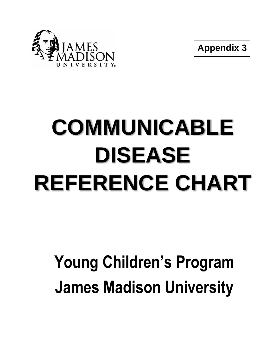

**Appendix 3**

## **COMMUNICABLE DISEASE REFERENCE CHART**

## **Young Children's Program James Madison University**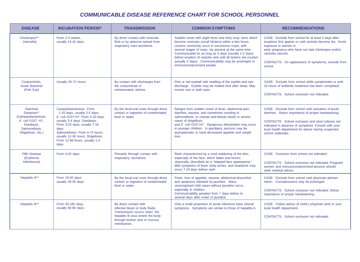## *COMMUNICABLE DISEASE REFERENCE CHART FOR SCHOOL PERSONNEL*

| <b>DISEASE</b>                                                                                                                     | <b>INCUBATION PERIOD*</b>                                                                                                                                                                                                                                                                | <b>TRANSMISSION</b>                                                                                                                                                          | <b>COMMON SYMPTOMS</b>                                                                                                                                                                                                                                                                                                                                                                                                                           | <b>RECOMMENDATIONS</b>                                                                                                                                                                                                                                                                           |
|------------------------------------------------------------------------------------------------------------------------------------|------------------------------------------------------------------------------------------------------------------------------------------------------------------------------------------------------------------------------------------------------------------------------------------|------------------------------------------------------------------------------------------------------------------------------------------------------------------------------|--------------------------------------------------------------------------------------------------------------------------------------------------------------------------------------------------------------------------------------------------------------------------------------------------------------------------------------------------------------------------------------------------------------------------------------------------|--------------------------------------------------------------------------------------------------------------------------------------------------------------------------------------------------------------------------------------------------------------------------------------------------|
| Chickenpox**<br>(Varicella)                                                                                                        | From 2-3 weeks.<br>usually 14-16 days.                                                                                                                                                                                                                                                   | By direct contact with vesicular<br>fluid or by airborne spread from<br>respiratory tract secretions.                                                                        | Sudden onset with slight fever and itchy erup-tions which<br>become vesicular (small blisters) within a few hours.<br>Lesions commonly occur in successive crops, with<br>several stages of matu- rity present at the same time.<br>Communicable for as long as 5 days (usually 1-2 days)<br>before eruption of vesicles and until all lesions are crusted<br>(usually 5 days). Communicability may be prolonged in<br>immunocompromised people. | CASE: Exclude from school for at least 5 days after<br>eruptions first appear or until vesicles become dry. Avoid<br>exposure to women in<br>early pregnancy who have not had chickenpox and/or<br>varicella vaccine.<br>CONTACTS: On appearance of symptoms, exclude from<br>school.            |
| Conjunctivitis,<br><b>Acute Bacterial</b><br>(Pink Eye)                                                                            | Usually 24-72 hours.                                                                                                                                                                                                                                                                     | By contact with discharges from<br>the conjunctivae or<br>contaminated articles.                                                                                             | Pink or red eyeball with swelling of the eyelids and eye<br>discharge. Eyelids may be matted shut after sleep. May<br>involve one or both eyes.                                                                                                                                                                                                                                                                                                  | CASE: Exclude from school while symptomatic or until<br>24 hours of antibiotic treatment has been completed.<br>CONTACTS: School exclusion not indicated.                                                                                                                                        |
| <b>Diarrheal</b><br>Diseases**<br>(Campylobacteriosis,<br>E. coli O157: H7,<br>Giardiasis.<br>Salmonellosis.<br>Shigellosis, etc.) | Campylobacteriosis: From<br>1-10 days, usually 2-5 days.<br>E. coli O157:H7: From 2-10 days,<br>usually 3-4 days. Giardiasis:<br>From 3-25 days, usually 7-10<br>days.<br>Salmonellosis: From 6-72 hours,<br>usually 12-36 hours. Shigellosis:<br>From 12-96 hours, usually 1-3<br>days. | By the fecal-oral route through direct<br>contact or ingestion of contaminated<br>food or water.                                                                             | Ranges from sudden onset of fever, abdominal pain,<br>diarrhea, nausea, and sometimes vomiting in<br>salmonellosis, to cramps and bloody stools in severe<br>cases of shigellosis<br>and E. coli O157:H7. Dangerous dehydration may occur<br>in younger children. In giardiasis, persons may be<br>asymptomatic or have decreased appetite and weight<br>loss.                                                                                   | CASE: Exclude from school until cessation of acute<br>diarrhea. Stress importance of proper handwashing.<br>CONTACTS: School exclusion and stool cultures not<br>indicated in absence of symptoms. Consult with your<br>local health department for advice during suspected<br>school outbreaks. |
| <b>Fifth Disease</b><br>(Erythema<br>Infectiosum)                                                                                  | From 4-20 days.                                                                                                                                                                                                                                                                          | Primarily through contact with<br>respiratory secretions.                                                                                                                    | Rash characterized by a vivid reddening of the skin,<br>especially of the face, which fades and recurs;<br>classically, described as a "slapped face appearance."<br>Mild symptoms of fever, body aches, and headache may<br>occur 7-10 days before rash.                                                                                                                                                                                        | CASE: Exclusion from school not indicated.<br>CONTACTS: School exclusion not indicated. Pregnant<br>women and immunocompromised persons should<br>seek medical advice.                                                                                                                           |
| Hepatitis A**                                                                                                                      | From 15-50 days,<br>usually 28-30 days.                                                                                                                                                                                                                                                  | By the fecal-oral route through direct<br>contact or ingestion of contaminated<br>food or water.                                                                             | Fever, loss of appetite, nausea, abdominal discomfort<br>and weakness followed by jaundice. Many<br>unrecognized mild cases without jaundice occur,<br>especially in children.<br>Communicability greatest from 7 days before to<br>several days after onset of jaundice.                                                                                                                                                                        | CASE: Exclude from school until physician advises<br>return. Convalescence may be prolonged.<br>CONTACTS: School exclusion not indicated. Stress<br>importance of proper handwashing.                                                                                                            |
| Hepatitis B**                                                                                                                      | From 45-180 days,<br>usually 60-90 days.                                                                                                                                                                                                                                                 | By direct contact with<br>infected blood or body fluids.<br>Transmission occurs when the<br>hepatitis B virus enters the body<br>through broken skin or mucous<br>membranes. | Only a small proportion of acute infections have clinical<br>symptoms. Symptoms are similar to those of hepatitis A.                                                                                                                                                                                                                                                                                                                             | CASE: Follow advice of child's physician and/ or your<br>local health department.<br>CONTACTS: School exclusion not indicated.                                                                                                                                                                   |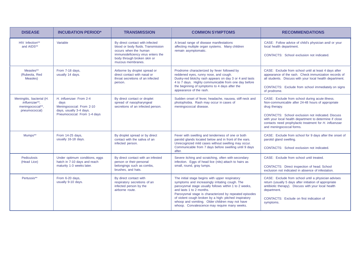| <b>DISEASE</b>                                                                  | <b>INCUBATION PERIOD*</b>                                                                                             | <b>TRANSMISSION</b>                                                                                                                                                                     | <b>COMMON SYMPTOMS</b>                                                                                                                                                                                                                                                                                                                                                                                        | <b>RECOMMENDATIONS</b>                                                                                                                                                                                                                                                                                                             |
|---------------------------------------------------------------------------------|-----------------------------------------------------------------------------------------------------------------------|-----------------------------------------------------------------------------------------------------------------------------------------------------------------------------------------|---------------------------------------------------------------------------------------------------------------------------------------------------------------------------------------------------------------------------------------------------------------------------------------------------------------------------------------------------------------------------------------------------------------|------------------------------------------------------------------------------------------------------------------------------------------------------------------------------------------------------------------------------------------------------------------------------------------------------------------------------------|
| HIV Infection**<br>and AIDS**                                                   | Variable                                                                                                              | By direct contact with infected<br>blood or body fluids. Transmission<br>occurs when the human<br>immunodeficiency virus enters the<br>body through broken skin or<br>mucous membranes. | A broad range of disease manifestations<br>affecting multiple organ systems. Many children<br>remain asymptomatic.                                                                                                                                                                                                                                                                                            | CASE: Follow advice of child's physician and/ or your<br>local health department.<br>CONTACTS: School exclusion not indicated.                                                                                                                                                                                                     |
| Measles**<br>(Rubeola, Red<br>Measles)                                          | From 7-18 days,<br>usually 14 days.                                                                                   | Airborne by droplet spread or<br>direct contact with nasal or<br>throat secretions of an infected<br>person.                                                                            | Prodrome characterized by fever followed by<br>reddened eyes, runny nose, and cough.<br>Dusky-red blotchy rash appears on day 3 or 4 and lasts<br>4 to 7 days. Highly communicable from one day before<br>the beginning of symptoms to 4 days after the<br>appearance of the rash.                                                                                                                            | CASE: Exclude from school until at least 4 days after<br>appearance of the rash. Check immunization records of<br>all students. Discuss with your local health department.<br>CONTACTS: Exclude from school immediately on signs<br>of prodrome.                                                                                   |
| Meningitis, bacterial (H.<br>influenzae**.<br>meningococcal**.<br>pneumococcal) | H. influenzae: From 2-4<br>days<br>Meningococcal: From 2-10<br>days, usually 3-4 days.<br>Pneumococcal: From 1-4 days | By direct contact or droplet<br>spread of nasopharyngeal<br>secretions of an infected person.                                                                                           | Sudden onset of fever, headache, nausea, stiff neck and<br>photophobia. Rash may occur in cases of<br>meningococcal disease.                                                                                                                                                                                                                                                                                  | CASE: Exclude from school during acute illness.<br>Non-communicable after 24-48 hours of appropriate<br>drug therapy.<br><b>CONTACTS:</b> School exclusion not indicated. Discuss<br>with your local health department to determine if close<br>contacts need prophylactic treatment for H. influenzae<br>and meningococcal forms. |
| Mumps**                                                                         | From 14-25 days,<br>usually 16-18 days.                                                                               | By droplet spread or by direct<br>contact with the saliva of an<br>infected person.                                                                                                     | Fever with swelling and tenderness of one or both<br>parotid glands located below and in front of the ears.<br>Unrecognized mild cases without swelling may occur.<br>Communicable from 7 days before swelling until 9 days<br>after.                                                                                                                                                                         | CASE: Exclude from school for 9 days after the onset of<br>parotid gland swelling.<br>CONTACTS: School exclusion not indicated.                                                                                                                                                                                                    |
| Pediculosis<br>(Head Lice)                                                      | Under optimum conditions, eggs<br>hatch in 7-10 days and reach<br>maturity 1-3 weeks later.                           | By direct contact with an infested<br>person or their personal<br>belongings such as combs.<br>brushes, and hats.                                                                       | Severe itching and scratching, often with secondary<br>infection. Eggs of head lice (nits) attach to hairs as<br>small, round, gray lumps.                                                                                                                                                                                                                                                                    | CASE: Exclude from school until treated.<br>CONTACTS: Direct inspection of head. School<br>exclusion not indicated in absence of infestation.                                                                                                                                                                                      |
| Pertussis**                                                                     | From 6-20 days,<br>usually 9-10 days.                                                                                 | By direct contact with<br>respiratory secretions of an<br>infected person by the<br>airborne route.                                                                                     | The initial stage begins with upper respiratory<br>symptoms and increasingly irritating cough. The<br>paroxysmal stage usually follows within 1 to 2 weeks,<br>and lasts 1 to 2 months.<br>Paroxysmal stage is characterized by repeated episodes<br>of violent cough broken by a high-pitched inspiratory<br>whoop and vomiting. Older children may not have<br>whoop. Convalescence may require many weeks. | CASE: Exclude from school until a physician advises<br>return (usually 5 days after initiation of appropriate<br>antibiotic therapy). Discuss with your local health<br>department.<br><b>CONTACTS:</b> Exclude on first indication of<br>symptoms.                                                                                |